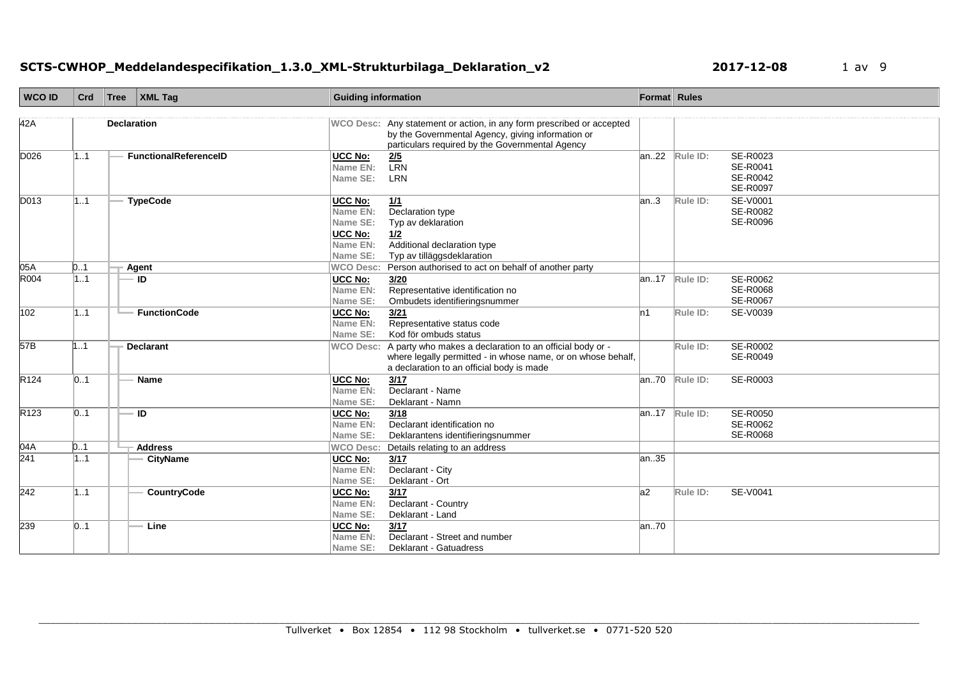# **SCTS-CWHOP\_Meddelandespecifikation\_1.3.0\_XML-Strukturbilaga\_Deklaration\_v2 1 2017-12-08** 1 av 9

| <b>WCO ID</b>    | Crd | Tree   XML Tag               | <b>Guiding information</b>                                                |                                                                                                                                                                               | Format Rules |                         |                                              |
|------------------|-----|------------------------------|---------------------------------------------------------------------------|-------------------------------------------------------------------------------------------------------------------------------------------------------------------------------|--------------|-------------------------|----------------------------------------------|
| 42A              |     | <b>Declaration</b>           |                                                                           | WCO Desc: Any statement or action, in any form prescribed or accepted<br>by the Governmental Agency, giving information or<br>particulars required by the Governmental Agency |              |                         |                                              |
| D026             | 11  | <b>FunctionalReferenceID</b> | UCC No:<br>Name EN:<br>Name SE:                                           | $\frac{2/5}{LRN}$<br>LRN                                                                                                                                                      |              | $ an22 $ Rule ID:       | SE-R0023<br>SE-R0041<br>SE-R0042<br>SE-R0097 |
| D013             | 11  | <b>TypeCode</b>              | UCC No:<br>Name EN:<br>Name SE:<br><b>UCC No:</b><br>Name EN:<br>Name SE: | 1/1<br>Declaration type<br>Typ av deklaration<br>1/2<br>Additional declaration type<br>Typ av tilläggsdeklaration                                                             | an.3         | Rule ID:                | SE-V0001<br>SE-R0082<br>SE-R0096             |
| 05A              | 0.1 | Agent                        | <b>WCO Desc:</b>                                                          | Person authorised to act on behalf of another party                                                                                                                           |              |                         |                                              |
| R004             | 1.1 | ID                           | UCC No:<br>Name EN:<br>Name SE:                                           | 3/20<br>Representative identification no<br>Ombudets identifieringsnummer                                                                                                     | an17         | Rule ID:                | SE-R0062<br><b>SE-R0068</b><br>SE-R0067      |
| 102              | 11  | <b>FunctionCode</b>          | UCC No:<br>Name EN:<br>Name SE:                                           | 3/21<br>Representative status code<br>Kod för ombuds status                                                                                                                   | ln 1         | Rule ID:                | SE-V0039                                     |
| 57B              | 1.1 | <b>Declarant</b>             | <b>WCO Desc:</b>                                                          | A party who makes a declaration to an official body or -<br>where legally permitted - in whose name, or on whose behalf,<br>a declaration to an official body is made         |              | Rule ID:                | SE-R0002<br>SE-R0049                         |
| R <sub>124</sub> | 01  | Name                         | <b>UCC No:</b><br>Name EN:<br>Name SE:                                    | $\frac{3}{17}$<br>Declarant - Name<br>Deklarant - Namn                                                                                                                        |              | an70 Rule ID:           | SE-R0003                                     |
| R123             | 0.1 | ID                           | UCC No:<br>Name EN:<br>Name SE:                                           | 3/18<br>Declarant identification no<br>Deklarantens identifieringsnummer                                                                                                      |              | $\sqrt{an.17}$ Rule ID: | SE-R0050<br>SE-R0062<br>SE-R0068             |
| 04A              | 0.1 | <b>Address</b>               | <b>WCO Desc:</b>                                                          | Details relating to an address                                                                                                                                                |              |                         |                                              |
| 241              | 1.1 | <b>CityName</b>              | UCC No:<br>Name EN:<br>Name SE:                                           | 3/17<br>Declarant - City<br>Deklarant - Ort                                                                                                                                   | an35         |                         |                                              |
| 242              | 11  | CountryCode                  | UCC No:<br>Name EN:<br>Name SE:                                           | 3/17<br>Declarant - Country<br>Deklarant - Land                                                                                                                               | a2           | Rule ID:                | SE-V0041                                     |
| 239              | 01  | Line                         | <b>UCC No:</b><br>Name EN:<br>Name SE:                                    | 3/17<br>Declarant - Street and number<br>Deklarant - Gatuadress                                                                                                               | an70         |                         |                                              |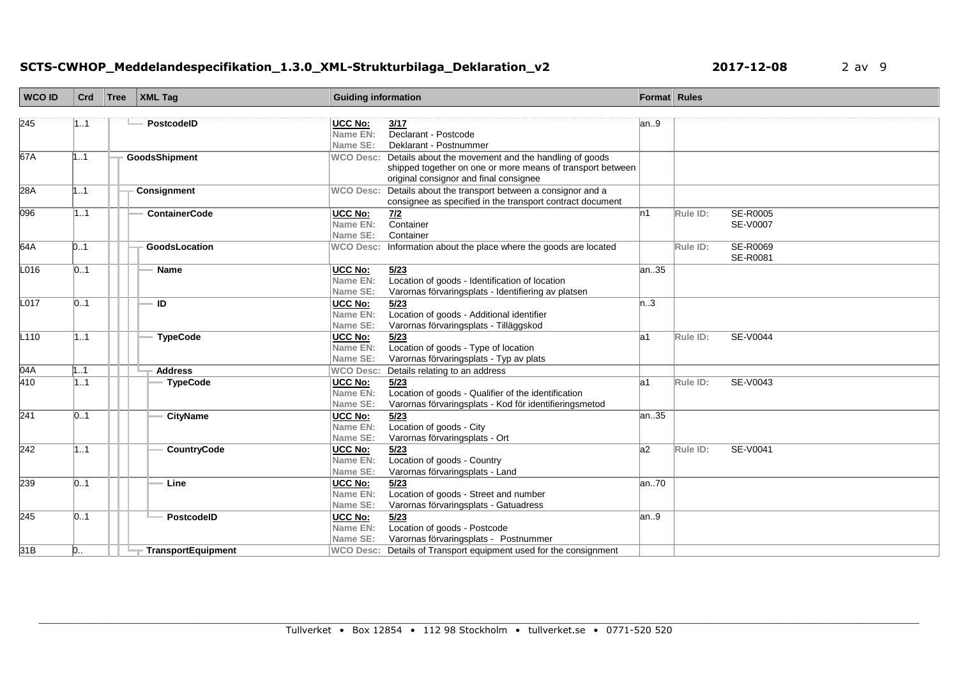# **SCTS-CWHOP\_Meddelandespecifikation\_1.3.0\_XML-Strukturbilaga\_Deklaration\_v2 2017-12-08** 2 av 9

| <b>WCO ID</b>    | Crd            | Tree | XML Tag                   | <b>Guiding information</b>             |                                                                                                                                                                        | Format Rules |          |                             |
|------------------|----------------|------|---------------------------|----------------------------------------|------------------------------------------------------------------------------------------------------------------------------------------------------------------------|--------------|----------|-----------------------------|
| 245              | 11             |      | <b>PostcodelD</b>         | <b>UCC No:</b><br>Name EN:<br>Name SE: | 3/17<br>Declarant - Postcode<br>Deklarant - Postnummer                                                                                                                 | an.9         |          |                             |
| 67A              | 1.1            |      | GoodsShipment             |                                        | WCO Desc: Details about the movement and the handling of goods<br>shipped together on one or more means of transport between<br>original consignor and final consignee |              |          |                             |
| 28A              | 11             |      | Consignment               | <b>WCO Desc:</b>                       | Details about the transport between a consignor and a<br>consignee as specified in the transport contract document                                                     |              |          |                             |
| 096              | 11             |      | <b>ContainerCode</b>      | <b>UCC No:</b><br>Name EN:<br>Name SE: | Z/2<br>Container<br>Container                                                                                                                                          | ln 1         | Rule ID: | <b>SE-R0005</b><br>SE-V0007 |
| 64A              | D1             |      | GoodsLocation             |                                        | WCO Desc: Information about the place where the goods are located                                                                                                      |              | Rule ID: | SE-R0069<br>SE-R0081        |
| L016             | 01             |      | <b>Name</b>               | UCC No:<br>Name EN:<br>Name SE:        | 5/23<br>Location of goods - Identification of location<br>Varornas förvaringsplats - Identifiering av platsen                                                          | an35         |          |                             |
| L017             | 0.1            |      | <b>ID</b>                 | <b>UCC No:</b><br>Name EN:<br>Name SE: | 5/23<br>Location of goods - Additional identifier<br>Varornas förvaringsplats - Tilläggskod                                                                            | n.3          |          |                             |
| L <sub>110</sub> | 11             |      | <b>TypeCode</b>           | UCC No:<br>Name EN:<br>Name SE:        | 5/23<br>Location of goods - Type of location<br>Varornas förvaringsplats - Typ av plats                                                                                | la1          | Rule ID: | SE-V0044                    |
| 04A              | 1.1            |      | <b>Address</b>            | <b>WCO Desc:</b>                       | Details relating to an address                                                                                                                                         |              |          |                             |
| 410              | 11             |      | <b>TypeCode</b>           | UCC No:<br>Name EN:<br>Name SE:        | 5/23<br>Location of goods - Qualifier of the identification<br>Varornas förvaringsplats - Kod för identifieringsmetod                                                  | la1          | Rule ID: | SE-V0043                    |
| 241              | 01             |      | <b>CityName</b>           | UCC No:<br>Name EN:<br>Name SE:        | 5/23<br>Location of goods - City<br>Varornas förvaringsplats - Ort                                                                                                     | an35         |          |                             |
| 242              | 11             |      | CountryCode               | UCC No:<br>Name EN:<br>Name SE:        | 5/23<br>Location of goods - Country<br>Varornas förvaringsplats - Land                                                                                                 | a2           | Rule ID: | SE-V0041                    |
| 239              | 01             |      | Line                      | <b>UCC No:</b><br>Name EN:<br>Name SE: | 5/23<br>Location of goods - Street and number<br>Varornas förvaringsplats - Gatuadress                                                                                 | an70         |          |                             |
| 245              | 0.1            |      | PostcodelD                | UCC No:<br>Name EN:<br>Name SE:        | 5/23<br>Location of goods - Postcode<br>Varornas förvaringsplats - Postnummer                                                                                          | an.9         |          |                             |
| 31B              | $\mathsf{D}$ . |      | <b>TransportEquipment</b> |                                        | WCO Desc: Details of Transport equipment used for the consignment                                                                                                      |              |          |                             |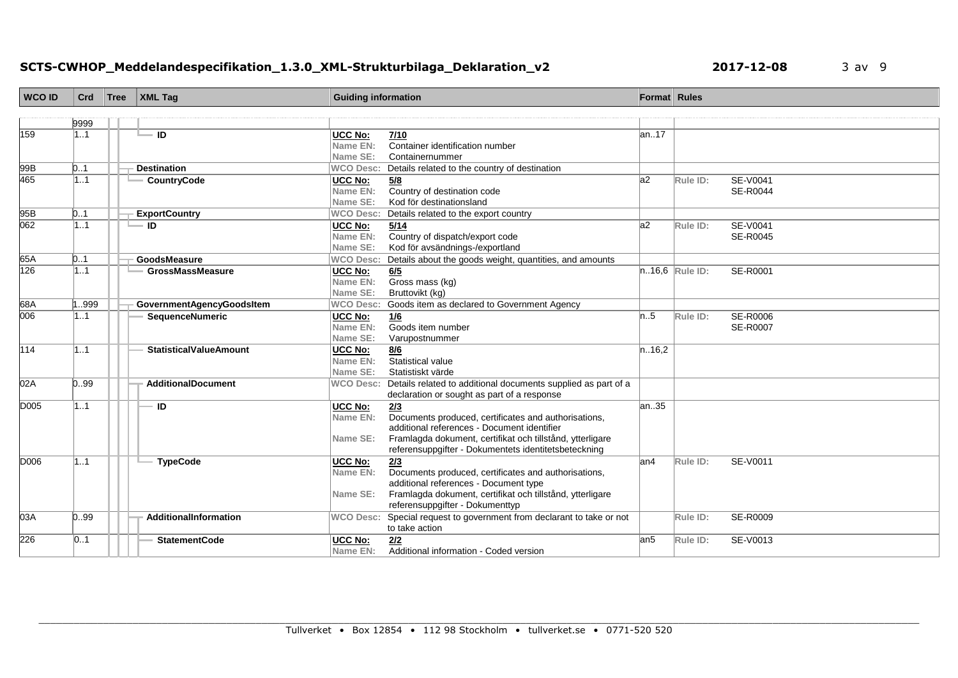# **SCTS-CWHOP\_Meddelandespecifikation\_1.3.0\_XML-Strukturbilaga\_Deklaration\_v2 2017-12-08** 3 av 9

| <b>WCO ID</b> | Crd  | Tree | $\vert$ XML Tag               | <b>Guiding information</b>             |                                                                                                                                                                                                                                 | Format Rules |                |                             |
|---------------|------|------|-------------------------------|----------------------------------------|---------------------------------------------------------------------------------------------------------------------------------------------------------------------------------------------------------------------------------|--------------|----------------|-----------------------------|
|               |      |      |                               |                                        |                                                                                                                                                                                                                                 |              |                |                             |
|               | 9999 |      |                               |                                        |                                                                                                                                                                                                                                 |              |                |                             |
| 159           | 1.1  |      | $=$ ID                        | UCC No:<br>Name EN:<br>Name SE:        | 7/10<br>Container identification number<br>Containernummer                                                                                                                                                                      | an17         |                |                             |
| 99B           | 0.1  |      | <b>Destination</b>            | <b>WCO Desc:</b>                       | Details related to the country of destination                                                                                                                                                                                   |              |                |                             |
| 465           | 1.1  |      | CountryCode                   | UCC No:<br>Name EN:<br>Name SE:        | 5/8<br>Country of destination code<br>Kod för destinationsland                                                                                                                                                                  | a2           | Rule ID:       | SE-V0041<br>SE-R0044        |
| 95B           | 0.1  |      | <b>ExportCountry</b>          | <b>WCO Desc:</b>                       | Details related to the export country                                                                                                                                                                                           |              |                |                             |
| 062           | 1.1  |      | $\blacksquare$                | <b>UCC No:</b><br>Name EN:<br>Name SE: | 5/14<br>Country of dispatch/export code<br>Kod för avsändnings-/exportland                                                                                                                                                      | a2           | Rule ID:       | SE-V0041<br>SE-R0045        |
| 65A           | 0.1  |      | GoodsMeasure                  | <b>WCO Desc:</b>                       | Details about the goods weight, quantities, and amounts                                                                                                                                                                         |              |                |                             |
| 126           | 1.1  |      | <b>GrossMassMeasure</b>       | UCC No:<br>Name EN:<br>Name SE:        | 6/5<br>Gross mass (kg)<br>Bruttovikt (kg)                                                                                                                                                                                       |              | n16,6 Rule ID: | SE-R0001                    |
| 68A           | 999  |      | GovernmentAgencyGoodsItem     | <b>WCO Desc:</b>                       | Goods item as declared to Government Agency                                                                                                                                                                                     |              |                |                             |
| 006           | 1.1  |      | <b>SequenceNumeric</b>        | UCC No:<br>Name EN:<br>Name SE:        | 1/6<br>Goods item number<br>Varupostnummer                                                                                                                                                                                      | n.5          | Rule ID:       | SE-R0006<br><b>SE-R0007</b> |
| 114           | 1.1  |      | <b>StatisticalValueAmount</b> | <b>UCC No:</b><br>Name EN:<br>Name SE: | 8/6<br>Statistical value<br>Statistiskt värde                                                                                                                                                                                   | n.16,2       |                |                             |
| 02A           | 0.99 |      | <b>AdditionalDocument</b>     | <b>WCO Desc:</b>                       | Details related to additional documents supplied as part of a<br>declaration or sought as part of a response                                                                                                                    |              |                |                             |
| D005          | 1.1  |      | ID                            | <b>UCC No:</b><br>Name EN:<br>Name SE: | 2/3<br>Documents produced, certificates and authorisations,<br>additional references - Document identifier<br>Framlagda dokument, certifikat och tillstånd, ytterligare<br>referensuppgifter - Dokumentets identitetsbeteckning | an.35        |                |                             |
| <b>D006</b>   | 11   |      | <b>TypeCode</b>               | UCC No:<br>Name EN:<br>Name SE:        | 2/3<br>Documents produced, certificates and authorisations,<br>additional references - Document type<br>Framlagda dokument, certifikat och tillstånd, ytterligare<br>referensuppgifter - Dokumenttyp                            | lan4         | Rule ID:       | SE-V0011                    |
| 03A           | 0.99 |      | AdditionalInformation         | <b>WCO Desc:</b>                       | Special request to government from declarant to take or not<br>to take action                                                                                                                                                   |              | Rule ID:       | SE-R0009                    |
| 226           | 01   |      | <b>StatementCode</b>          | <b>UCC No:</b><br>Name EN:             | 2/2<br>Additional information - Coded version                                                                                                                                                                                   | lan5         | Rule ID:       | SE-V0013                    |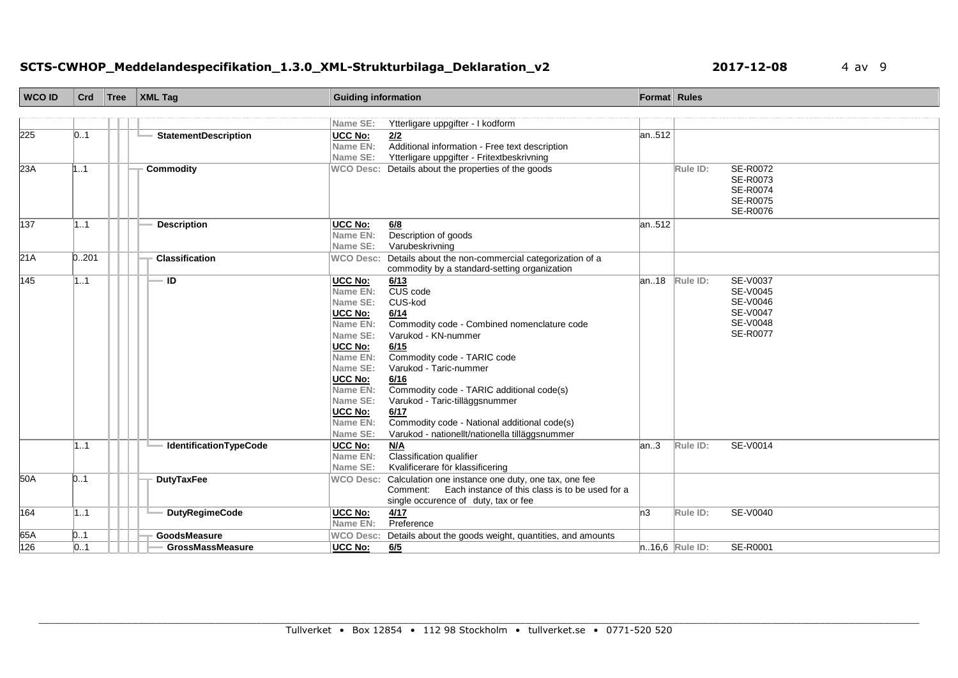# **SCTS-CWHOP\_Meddelandespecifikation\_1.3.0\_XML-Strukturbilaga\_Deklaration\_v2 2017-12-08** 4 av 9

| <b>WCO ID</b> | Crd   | Tree | <b>XML Tag</b>              | <b>Guiding information</b>                                                                                                                                                         |                                                                                                                                                                                                                                                                                                                                                                             |       | Format Rules                                                                                             |
|---------------|-------|------|-----------------------------|------------------------------------------------------------------------------------------------------------------------------------------------------------------------------------|-----------------------------------------------------------------------------------------------------------------------------------------------------------------------------------------------------------------------------------------------------------------------------------------------------------------------------------------------------------------------------|-------|----------------------------------------------------------------------------------------------------------|
|               |       |      |                             |                                                                                                                                                                                    |                                                                                                                                                                                                                                                                                                                                                                             |       |                                                                                                          |
|               |       |      |                             | Name SE:                                                                                                                                                                           | Ytterligare uppgifter - I kodform                                                                                                                                                                                                                                                                                                                                           |       |                                                                                                          |
| 225           | 0.1   |      | <b>StatementDescription</b> | UCC No:<br>Name EN:<br>Name SE:                                                                                                                                                    | 2/2<br>Additional information - Free text description<br>Ytterligare uppgifter - Fritextbeskrivning                                                                                                                                                                                                                                                                         | an512 |                                                                                                          |
| 23A           | 1.1   |      | <b>Commodity</b>            |                                                                                                                                                                                    | WCO Desc: Details about the properties of the goods                                                                                                                                                                                                                                                                                                                         |       | SE-R0072<br>Rule ID:<br>SE-R0073<br><b>SE-R0074</b><br>SE-R0075<br>SE-R0076                              |
| 137           | 1.1   |      | <b>Description</b>          | UCC No:<br>Name EN:<br>Name SE:                                                                                                                                                    | 6/8<br>Description of goods<br>Varubeskrivning                                                                                                                                                                                                                                                                                                                              | an512 |                                                                                                          |
| 21A           | 0.201 |      | Classification              | <b>WCO Desc:</b>                                                                                                                                                                   | Details about the non-commercial categorization of a<br>commodity by a standard-setting organization                                                                                                                                                                                                                                                                        |       |                                                                                                          |
| 145           | 11    |      | <b>ID</b>                   | <b>UCC No:</b><br>Name EN:<br>Name SE:<br>UCC No:<br>Name EN:<br>Name SE:<br>UCC No:<br>Name EN:<br>Name SE:<br>UCC No:<br>Name EN:<br>Name SE:<br>UCC No:<br>Name EN:<br>Name SE: | 6/13<br>CUS code<br>CUS-kod<br>6/14<br>Commodity code - Combined nomenclature code<br>Varukod - KN-nummer<br>6/15<br>Commodity code - TARIC code<br>Varukod - Taric-nummer<br>6/16<br>Commodity code - TARIC additional code(s)<br>Varukod - Taric-tilläggsnummer<br>6/17<br>Commodity code - National additional code(s)<br>Varukod - nationellt/nationella tilläggsnummer |       | $ an.18 $ Rule ID:<br><b>SE-V0037</b><br>SE-V0045<br>SE-V0046<br>SE-V0047<br>SE-V0048<br><b>SE-R0077</b> |
|               | 1.1   |      | IdentificationTypeCode      | <b>UCC No:</b><br>Name EN:<br>Name SE:                                                                                                                                             | M/A<br>Classification qualifier<br>Kvalificerare för klassificering                                                                                                                                                                                                                                                                                                         | an.3  | Rule ID:<br><b>SE-V0014</b>                                                                              |
| 50A           | 0.1   |      | <b>DutyTaxFee</b>           | <b>WCO Desc:</b>                                                                                                                                                                   | Calculation one instance one duty, one tax, one fee<br>Comment: Each instance of this class is to be used for a<br>single occurence of duty, tax or fee                                                                                                                                                                                                                     |       |                                                                                                          |
| 164           | 1.1   |      | <b>DutyRegimeCode</b>       | <b>UCC No:</b><br>Name EN:                                                                                                                                                         | 4/17<br>Preference                                                                                                                                                                                                                                                                                                                                                          | n3    | Rule ID:<br>SE-V0040                                                                                     |
| 65A           | 0.1   |      | GoodsMeasure                | <b>WCO Desc:</b>                                                                                                                                                                   | Details about the goods weight, quantities, and amounts                                                                                                                                                                                                                                                                                                                     |       |                                                                                                          |
| 126           | 0.1   |      | <b>GrossMassMeasure</b>     | <b>UCC No:</b>                                                                                                                                                                     | 6/5                                                                                                                                                                                                                                                                                                                                                                         |       | $n.16,6$ Rule ID:<br>SE-R0001                                                                            |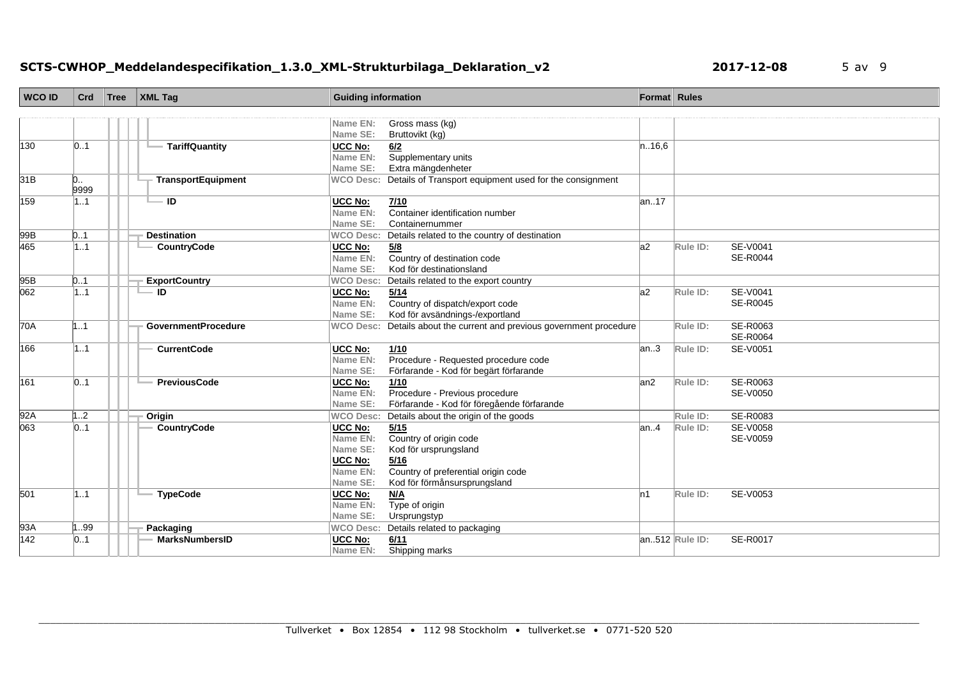# **SCTS-CWHOP\_Meddelandespecifikation\_1.3.0\_XML-Strukturbilaga\_Deklaration\_v2 2017-12-08** 5 av 9

| <b>WCO ID</b>           | Crd       | Tree | XML Tag                    | <b>Guiding information</b>   |                                                                              | Format Rules |                |                 |
|-------------------------|-----------|------|----------------------------|------------------------------|------------------------------------------------------------------------------|--------------|----------------|-----------------|
|                         |           |      |                            |                              |                                                                              |              |                |                 |
|                         |           |      |                            | Name EN:                     | Gross mass (kg)                                                              |              |                |                 |
|                         |           |      |                            | Name SE:                     | Bruttovikt (kg)                                                              |              |                |                 |
| 130                     | 01        |      | <b>TariffQuantity</b>      | UCC No:                      | 6/2                                                                          | n.16,6       |                |                 |
|                         |           |      |                            | Name EN:<br>Name SE:         | Supplementary units<br>Extra mängdenheter                                    |              |                |                 |
| 31B                     | 0         |      | TransportEquipment         | <b>WCO Desc:</b>             | Details of Transport equipment used for the consignment                      |              |                |                 |
|                         | 9999      |      |                            |                              |                                                                              |              |                |                 |
| 159                     | 1.1       |      | ID                         | UCC No:                      | 7/10                                                                         | lan17        |                |                 |
|                         |           |      |                            | Name EN:                     | Container identification number                                              |              |                |                 |
|                         |           |      |                            | Name SE:                     | Containernummer                                                              |              |                |                 |
| 99B                     | 0.1       |      | <b>Destination</b>         | <b>WCO Desc:</b>             | Details related to the country of destination                                |              |                |                 |
| 465                     | 1.1       |      | CountryCode                | <b>UCC No:</b>               | 5/8                                                                          | a2           | Rule ID:       | SE-V0041        |
|                         |           |      |                            | Name EN:                     | Country of destination code<br>Kod för destinationsland                      |              |                | <b>SE-R0044</b> |
| 95B                     | 0.1       |      | <b>ExportCountry</b>       | Name SE:<br><b>WCO Desc:</b> | Details related to the export country                                        |              |                |                 |
| 062                     | 1.1       |      | $=$ ID                     | <b>UCC No:</b>               | 5/14                                                                         | la2          | Rule ID:       | <b>SE-V0041</b> |
|                         |           |      |                            | Name EN:                     | Country of dispatch/export code                                              |              |                | SE-R0045        |
|                         |           |      |                            | Name SE:                     | Kod för avsändnings-/exportland                                              |              |                |                 |
| 70A                     | 1.1       |      | <b>GovernmentProcedure</b> | <b>WCO Desc:</b>             | Details about the current and previous government procedure                  |              | Rule ID:       | SE-R0063        |
|                         |           |      |                            |                              |                                                                              |              |                | <b>SE-R0064</b> |
| 166                     | 11        |      | <b>CurrentCode</b>         | UCC No:                      | 1/10                                                                         | an.3         | Rule ID:       | SE-V0051        |
|                         |           |      |                            | Name EN:                     | Procedure - Requested procedure code                                         |              |                |                 |
|                         |           |      |                            | Name SE:                     | Förfarande - Kod för begärt förfarande                                       |              |                |                 |
| 161                     | 01        |      | <b>PreviousCode</b>        | UCC No:                      | 1/10                                                                         | lan2         | Rule ID:       | SE-R0063        |
|                         |           |      |                            | Name EN:<br>Name SE:         | Procedure - Previous procedure<br>Förfarande - Kod för föregående förfarande |              |                | SE-V0050        |
| 92A                     | 12        |      | Origin                     | <b>WCO Desc:</b>             | Details about the origin of the goods                                        |              | Rule ID:       | SE-R0083        |
| 063                     | 01        |      | <b>CountryCode</b>         | <b>UCC No:</b>               | 5/15                                                                         | lan4         | Rule ID:       | SE-V0058        |
|                         |           |      |                            | Name EN:                     | Country of origin code                                                       |              |                | SE-V0059        |
|                         |           |      |                            | Name SE:                     | Kod för ursprungsland                                                        |              |                |                 |
|                         |           |      |                            | UCC No:                      | 5/16                                                                         |              |                |                 |
|                         |           |      |                            | Name EN:                     | Country of preferential origin code                                          |              |                |                 |
|                         |           |      |                            | Name SE:                     | Kod för förmånsursprungsland                                                 |              |                |                 |
| $\overline{501}$        | 1.1       |      | <b>TypeCode</b>            | UCC No:                      | N/A                                                                          | n1           | Rule ID:       | SE-V0053        |
|                         |           |      |                            | Name EN:                     | Type of origin                                                               |              |                |                 |
|                         |           |      |                            | Name SE:                     | Ursprungstyp                                                                 |              |                |                 |
| 93A<br>$\overline{142}$ | 99<br> 01 |      | Packaging                  | <b>WCO Desc:</b>             | Details related to packaging                                                 |              | an512 Rule ID: |                 |
|                         |           |      | <b>MarksNumbersID</b>      | <b>UCC No:</b><br>Name EN:   | 6/11<br>Shipping marks                                                       |              |                | <b>SE-R0017</b> |
|                         |           |      |                            |                              |                                                                              |              |                |                 |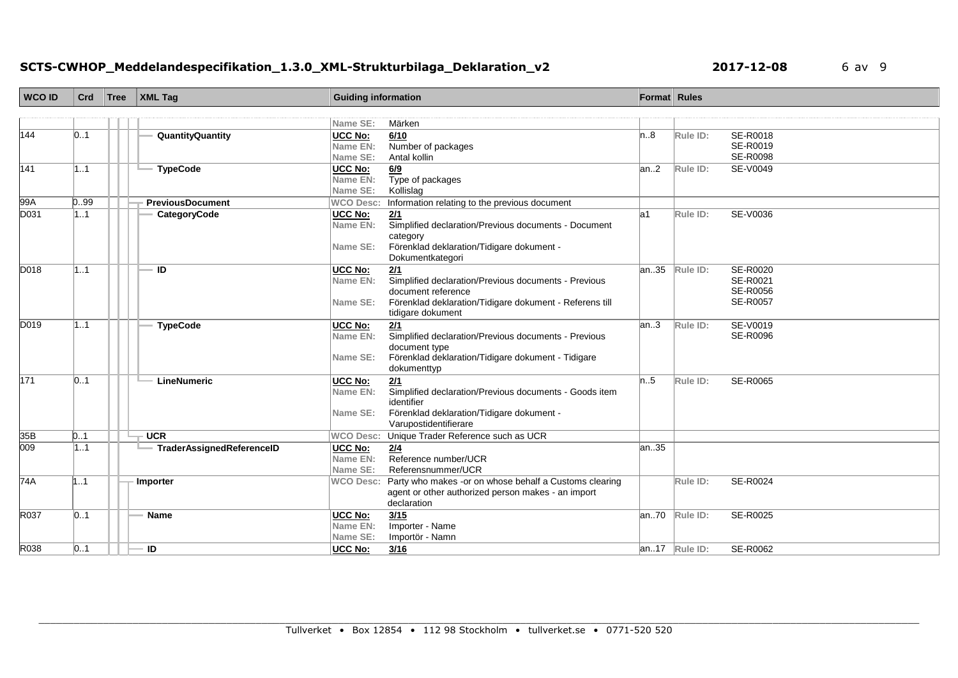# **SCTS-CWHOP\_Meddelandespecifikation\_1.3.0\_XML-Strukturbilaga\_Deklaration\_v2 <b>2017-12-08** 6 av 9

| <b>WCO ID</b>    | Crd  | Tree | XML Tag                     | <b>Guiding information</b>             |                                                                                                                                                                   | Format Rules |                    |                                                            |
|------------------|------|------|-----------------------------|----------------------------------------|-------------------------------------------------------------------------------------------------------------------------------------------------------------------|--------------|--------------------|------------------------------------------------------------|
|                  |      |      |                             |                                        |                                                                                                                                                                   |              |                    |                                                            |
|                  |      |      |                             | Name SE:                               | Märken                                                                                                                                                            |              |                    |                                                            |
| 144              | 01   |      | <b>QuantityQuantity</b>     | <b>UCC No:</b><br>Name EN:<br>Name SE: | 6/10<br>Number of packages<br>Antal kollin                                                                                                                        | ln8          | Rule ID:           | SE-R0018<br>SE-R0019<br>SE-R0098                           |
| 141              | 11   |      | <b>TypeCode</b>             | <b>UCC No:</b><br>Name EN:<br>Name SE: | 6/9<br>Type of packages<br>Kollislag                                                                                                                              | an.2         | Rule ID:           | SE-V0049                                                   |
| 99A              | 0.99 |      | <b>PreviousDocument</b>     | <b>WCO Desc:</b>                       | Information relating to the previous document                                                                                                                     |              |                    |                                                            |
| D031             | 1.1  |      | CategoryCode                | UCC No:<br>Name EN:<br>Name SE:        | 2/1<br>Simplified declaration/Previous documents - Document<br>category<br>Förenklad deklaration/Tidigare dokument -<br>Dokumentkategori                          | la1          | Rule ID:           | SE-V0036                                                   |
| D018             | 11   |      | ID                          | <b>UCC No:</b><br>Name EN:<br>Name SE: | 2/1<br>Simplified declaration/Previous documents - Previous<br>document reference<br>Förenklad deklaration/Tidigare dokument - Referens till<br>tidigare dokument |              | $ an35 $ Rule ID:  | SE-R0020<br>SE-R0021<br><b>SE-R0056</b><br><b>SE-R0057</b> |
| D019             | 11   |      | <b>TypeCode</b>             | <b>UCC No:</b><br>Name EN:<br>Name SE: | 2/1<br>Simplified declaration/Previous documents - Previous<br>document type<br>Förenklad deklaration/Tidigare dokument - Tidigare<br>dokumenttyp                 | an.3         | Rule ID:           | SE-V0019<br>SE-R0096                                       |
| 171              | 01   |      | LineNumeric                 | <b>UCC No:</b><br>Name EN:<br>Name SE: | 2/1<br>Simplified declaration/Previous documents - Goods item<br>identifier<br>Förenklad deklaration/Tidigare dokument -<br>Varupostidentifierare                 | n.5          | Rule ID:           | SE-R0065                                                   |
| 35B              | 01   |      | <b>UCR</b>                  | <b>WCO Desc:</b>                       | Unique Trader Reference such as UCR                                                                                                                               |              |                    |                                                            |
| $\overline{009}$ | 1.1  |      | - TraderAssignedReferenceID | UCC No:<br>Name EN:<br>Name SE:        | 2/4<br>Reference number/UCR<br>Referensnummer/UCR                                                                                                                 | an35         |                    |                                                            |
| 74A              | 1.1  |      | Importer                    | <b>WCO Desc:</b>                       | Party who makes -or on whose behalf a Customs clearing<br>agent or other authorized person makes - an import<br>declaration                                       |              | Rule ID:           | SE-R0024                                                   |
| R037             | 01   |      | <b>Name</b>                 | <b>UCC No:</b><br>Name EN:<br>Name SE: | 3/15<br>Importer - Name<br>Importör - Namn                                                                                                                        |              | $ an.70 $ Rule ID: | SE-R0025                                                   |
| R038             | 01   |      | - ID                        | <b>UCC No:</b>                         | 3/16                                                                                                                                                              |              | $ an.17 $ Rule ID: | SE-R0062                                                   |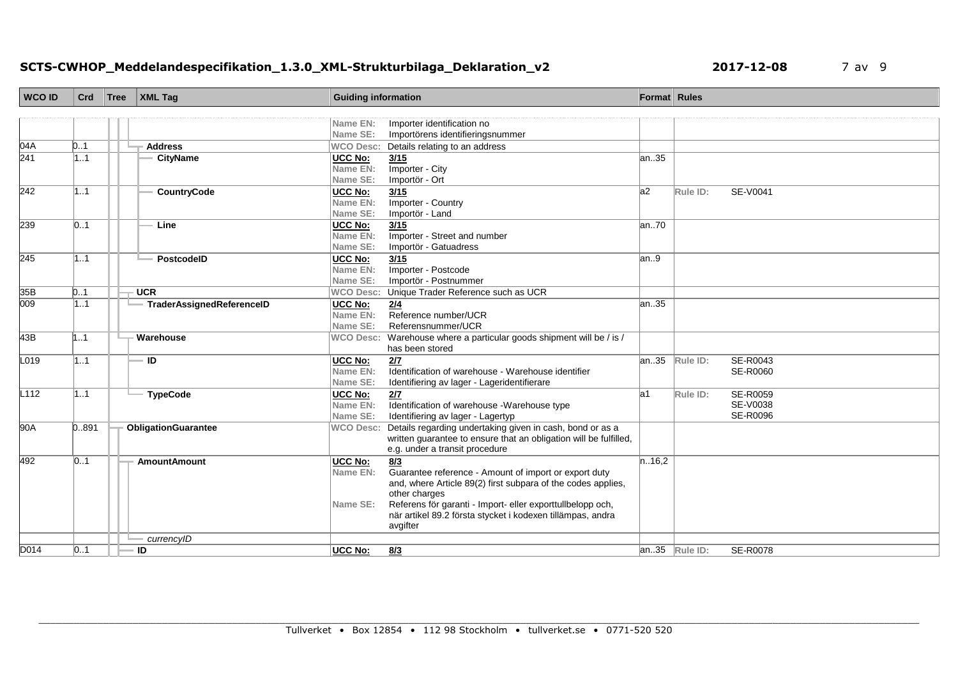# **SCTS-CWHOP\_Meddelandespecifikation\_1.3.0\_XML-Strukturbilaga\_Deklaration\_v2 2017-12-08** 7 av 9

| <b>WCO ID</b>    | Crd   | Tree | $\vert$ XML Tag           | <b>Guiding information</b> |                                                                   | Format Rules |                  |                 |
|------------------|-------|------|---------------------------|----------------------------|-------------------------------------------------------------------|--------------|------------------|-----------------|
|                  |       |      |                           |                            |                                                                   |              |                  |                 |
|                  |       |      |                           | Name EN:                   | Importer identification no                                        |              |                  |                 |
|                  |       |      |                           | Name SE:                   | Importörens identifieringsnummer                                  |              |                  |                 |
| 04A              | 0.1   |      | <b>Address</b>            | <b>WCO Desc:</b>           | Details relating to an address                                    |              |                  |                 |
| $\overline{241}$ | 1.1   |      | <b>CityName</b>           | <b>UCC No:</b>             | 3/15                                                              | an.35        |                  |                 |
|                  |       |      |                           | Name EN:                   | Importer - City                                                   |              |                  |                 |
|                  |       |      |                           | Name SE:                   | Importör - Ort                                                    |              |                  |                 |
| 242              | 11    |      | CountryCode               | <b>UCC No:</b>             | 3/15                                                              | a2           | Rule ID:         | SE-V0041        |
|                  |       |      |                           | Name EN:                   | Importer - Country                                                |              |                  |                 |
|                  |       |      |                           | Name SE:                   | Importör - Land                                                   |              |                  |                 |
| 239              | 01    |      | Line                      | <b>UCC No:</b>             | 3/15                                                              | an70         |                  |                 |
|                  |       |      |                           | Name EN:                   | Importer - Street and number                                      |              |                  |                 |
|                  |       |      | PostcodelD                | Name SE:                   | Importör - Gatuadress                                             |              |                  |                 |
| 245              | 11    |      |                           | <b>UCC No:</b><br>Name EN: | 3/15<br>Importer - Postcode                                       | an.9         |                  |                 |
|                  |       |      |                           | Name SE:                   | Importör - Postnummer                                             |              |                  |                 |
| 35B              | 0.1   |      | <b>UCR</b>                | <b>WCO Desc:</b>           | Unique Trader Reference such as UCR                               |              |                  |                 |
| $\overline{009}$ | 1.1   |      | TraderAssignedReferenceID | <b>UCC No:</b>             | 2/4                                                               | lan35        |                  |                 |
|                  |       |      |                           | Name EN:                   | Reference number/UCR                                              |              |                  |                 |
|                  |       |      |                           | Name SE:                   | Referensnummer/UCR                                                |              |                  |                 |
| 43B              | 1.1   |      | Warehouse                 | <b>WCO Desc:</b>           | Warehouse where a particular goods shipment will be / is /        |              |                  |                 |
|                  |       |      |                           |                            | has been stored                                                   |              |                  |                 |
| L019             | 11    |      | - ID                      | <b>UCC No:</b>             | 2/7                                                               | an35         | Rule ID:         | SE-R0043        |
|                  |       |      |                           | Name EN:                   | Identification of warehouse - Warehouse identifier                |              |                  | SE-R0060        |
|                  |       |      |                           | Name SE:                   | Identifiering av lager - Lageridentifierare                       |              |                  |                 |
| L <sub>112</sub> | 11    |      | <b>TypeCode</b>           | <b>UCC No:</b>             | 2/7                                                               | la1          | Rule ID:         | SE-R0059        |
|                  |       |      |                           | Name EN:                   | Identification of warehouse -Warehouse type                       |              |                  | SE-V0038        |
|                  |       |      |                           | Name SE:                   | Identifiering av lager - Lagertyp                                 |              |                  | <b>SE-R0096</b> |
| 90A              | 0.891 |      | ObligationGuarantee       | <b>WCO Desc:</b>           | Details regarding undertaking given in cash, bond or as a         |              |                  |                 |
|                  |       |      |                           |                            | written guarantee to ensure that an obligation will be fulfilled, |              |                  |                 |
|                  |       |      |                           |                            | e.g. under a transit procedure                                    |              |                  |                 |
| 492              | 01    |      | <b>AmountAmount</b>       | UCC No:                    | 8/3                                                               | n.16,2       |                  |                 |
|                  |       |      |                           | Name EN:                   | Guarantee reference - Amount of import or export duty             |              |                  |                 |
|                  |       |      |                           |                            | and, where Article 89(2) first subpara of the codes applies,      |              |                  |                 |
|                  |       |      |                           |                            | other charges                                                     |              |                  |                 |
|                  |       |      |                           | Name SE:                   | Referens för garanti - Import- eller exporttullbelopp och,        |              |                  |                 |
|                  |       |      |                           |                            | när artikel 89.2 första stycket i kodexen tillämpas, andra        |              |                  |                 |
|                  |       |      |                           |                            | avgifter                                                          |              |                  |                 |
|                  |       |      | currencyID                |                            |                                                                   |              |                  |                 |
| D014             | 01    |      | ID                        | <b>UCC No:</b>             | 8/3                                                               |              | $an.35$ Rule ID: | SE-R0078        |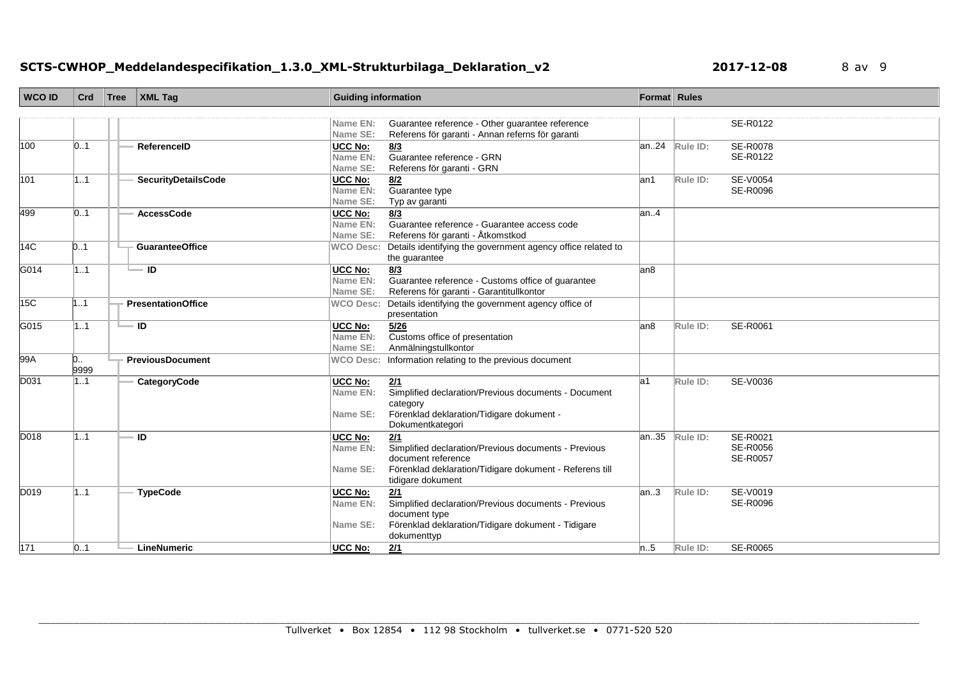# **SCTS-CWHOP\_Meddelandespecifikation\_1.3.0\_XML-Strukturbilaga\_Deklaration\_v2 <b>2017-12-08** 8 av 9

| <b>WCO ID</b> | Crd       | Tree | <b>XML Tag</b>             | <b>Guiding information</b>             |                                                                                                                                                                   | Format Rules |          |                                                |
|---------------|-----------|------|----------------------------|----------------------------------------|-------------------------------------------------------------------------------------------------------------------------------------------------------------------|--------------|----------|------------------------------------------------|
|               |           |      |                            |                                        |                                                                                                                                                                   |              |          |                                                |
|               |           |      |                            | Name EN:<br>Name SE:                   | Guarantee reference - Other guarantee reference<br>Referens för garanti - Annan referns för garanti                                                               |              |          | SE-R0122                                       |
| 100           | 01        |      | ReferencelD                | <b>UCC No:</b><br>Name EN:<br>Name SE: | 8/3<br>Guarantee reference - GRN<br>Referens för garanti - GRN                                                                                                    | an24         | Rule ID: | SE-R0078<br>SE-R0122                           |
| 101           | 1.1       |      | <b>SecurityDetailsCode</b> | <b>UCC No:</b><br>Name EN:<br>Name SE: | 8/2<br>Guarantee type<br>Typ av garanti                                                                                                                           | lan1         | Rule ID: | SE-V0054<br>SE-R0096                           |
| 499           | 01        |      | <b>AccessCode</b>          | UCC No:<br>Name EN:<br>Name SE:        | 8/3<br>Guarantee reference - Guarantee access code<br>Referens för garanti - Åtkomstkod                                                                           | an4          |          |                                                |
| 14C           | 0.1       |      | <b>GuaranteeOffice</b>     | <b>WCO Desc:</b>                       | Details identifying the government agency office related to<br>the guarantee                                                                                      |              |          |                                                |
| G014          | 1.1       |      | $\blacksquare$ ID          | UCC No:<br>Name EN:<br>Name SE:        | 8/3<br>Guarantee reference - Customs office of guarantee<br>Referens för garanti - Garantitullkontor                                                              | lan8         |          |                                                |
| 15C           | 1.1       |      | <b>PresentationOffice</b>  | <b>WCO Desc:</b>                       | Details identifying the government agency office of<br>presentation                                                                                               |              |          |                                                |
| G015          | 11        |      | - ID                       | <b>UCC No:</b><br>Name EN:<br>Name SE: | 5/26<br>Customs office of presentation<br>Anmälningstullkontor                                                                                                    | an8          | Rule ID: | SE-R0061                                       |
| 99A           | 0<br>9999 |      | <b>PreviousDocument</b>    | <b>WCO Desc:</b>                       | Information relating to the previous document                                                                                                                     |              |          |                                                |
| D031          | 1.1       |      | CategoryCode               | UCC No:<br>Name EN:<br>Name SE:        | 2/1<br>Simplified declaration/Previous documents - Document<br>category<br>Förenklad deklaration/Tidigare dokument -<br>Dokumentkategori                          | la1          | Rule ID: | SE-V0036                                       |
| D018          | 1.1       |      | ID                         | <b>UCC No:</b><br>Name EN:<br>Name SE: | 2/1<br>Simplified declaration/Previous documents - Previous<br>document reference<br>Förenklad deklaration/Tidigare dokument - Referens till<br>tidigare dokument | an35         | Rule ID: | SE-R0021<br><b>SE-R0056</b><br><b>SE-R0057</b> |
| D019          | 11        |      | <b>TypeCode</b>            | UCC No:<br>Name EN:<br>Name SE:        | Simplified declaration/Previous documents - Previous<br>document type<br>Förenklad deklaration/Tidigare dokument - Tidigare<br>dokumenttyp                        | an.3         | Rule ID: | SE-V0019<br><b>SE-R0096</b>                    |
| 171           | 01        |      | LineNumeric                | <b>UCC No:</b>                         | 2/1                                                                                                                                                               | n.5          | Rule ID: | <b>SE-R0065</b>                                |